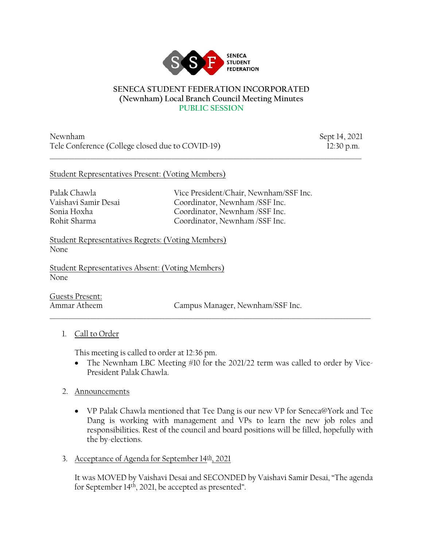

#### **SENECA STUDENT FEDERATION INCORPORATED (Newnham) Local Branch Council Meeting Minutes PUBLIC SESSION**

 $\_$  ,  $\_$  ,  $\_$  ,  $\_$  ,  $\_$  ,  $\_$  ,  $\_$  ,  $\_$  ,  $\_$  ,  $\_$  ,  $\_$  ,  $\_$  ,  $\_$  ,  $\_$  ,  $\_$  ,  $\_$  ,  $\_$  ,  $\_$  ,  $\_$  ,  $\_$  ,  $\_$  ,  $\_$  ,  $\_$  ,  $\_$  ,  $\_$  ,  $\_$  ,  $\_$  ,  $\_$  ,  $\_$  ,  $\_$  ,  $\_$  ,  $\_$  ,  $\_$  ,  $\_$  ,  $\_$  ,  $\_$  ,  $\_$  ,

Newnham Sept 14, 2021 Tele Conference (College closed due to COVID-19) 12:30 p.m.

## Student Representatives Present: (Voting Members)

Palak Chawla Vice President/Chair, Newnham/SSF Inc. Vaishavi Samir Desai Coordinator, Newnham /SSF Inc. Sonia Hoxha Coordinator, Newnham /SSF Inc. Rohit Sharma Coordinator, Newnham /SSF Inc.

Student Representatives Regrets: (Voting Members) None

Student Representatives Absent: (Voting Members) None

Guests Present:

Ammar Atheem Campus Manager, Newnham/SSF Inc.

## 1. Call to Order

This meeting is called to order at 12:36 pm.

• The Newnham LBC Meeting #10 for the 2021/22 term was called to order by Vice-President Palak Chawla.

\_\_\_\_\_\_\_\_\_\_\_\_\_\_\_\_\_\_\_\_\_\_\_\_\_\_\_\_\_\_\_\_\_\_\_\_\_\_\_\_\_\_\_\_\_\_\_\_\_\_\_\_\_\_\_\_\_\_\_\_\_\_\_\_\_\_\_\_\_\_\_\_\_\_\_\_\_\_\_\_\_\_\_\_\_\_\_\_\_\_\_\_\_\_\_\_\_\_\_\_\_\_\_

- 2. Announcements
	- VP Palak Chawla mentioned that Tee Dang is our new VP for Seneca@York and Tee Dang is working with management and VPs to learn the new job roles and responsibilities. Rest of the council and board positions will be filled, hopefully with the by-elections.
- 3. Acceptance of Agenda for September  $14<sup>th</sup>$ , 2021

It was MOVED by Vaishavi Desai and SECONDED by Vaishavi Samir Desai, "The agenda for September 14<sup>th</sup>, 2021, be accepted as presented".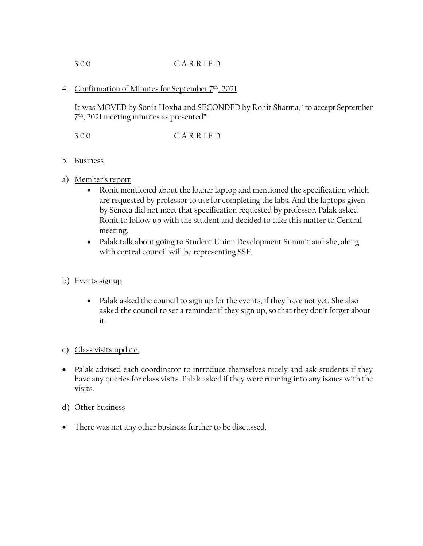# 3:0:0 C A R R I E D

## 4. Confirmation of Minutes for September 7<sup>th</sup>, 2021

It was MOVED by Sonia Hoxha and SECONDED by Rohit Sharma, "to accept September 7th, 2021 meeting minutes as presented".

3:0:0 C A R R I E D

- 5. Business
- a) Member's report
	- Rohit mentioned about the loaner laptop and mentioned the specification which are requested by professor to use for completing the labs. And the laptops given by Seneca did not meet that specification requested by professor. Palak asked Rohit to follow up with the student and decided to take this matter to Central meeting.
	- Palak talk about going to Student Union Development Summit and she, along with central council will be representing SSF.
- b) Events signup
	- Palak asked the council to sign up for the events, if they have not yet. She also asked the council to set a reminder if they sign up, so that they don't forget about it.

### c) Class visits update.

- Palak advised each coordinator to introduce themselves nicely and ask students if they have any queries for class visits. Palak asked if they were running into any issues with the visits.
- d) Other business
- There was not any other business further to be discussed.